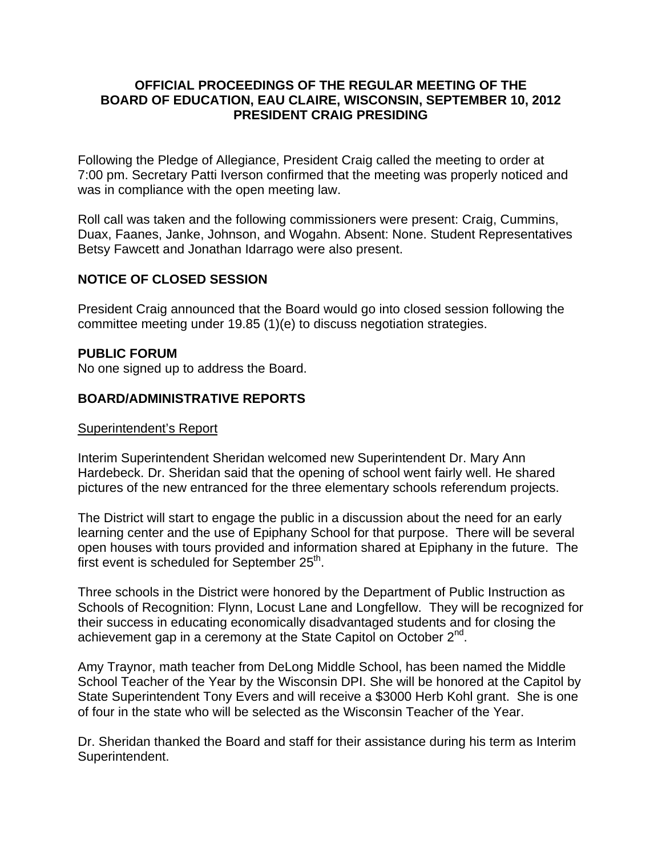### **OFFICIAL PROCEEDINGS OF THE REGULAR MEETING OF THE BOARD OF EDUCATION, EAU CLAIRE, WISCONSIN, SEPTEMBER 10, 2012 PRESIDENT CRAIG PRESIDING**

Following the Pledge of Allegiance, President Craig called the meeting to order at 7:00 pm. Secretary Patti Iverson confirmed that the meeting was properly noticed and was in compliance with the open meeting law.

Roll call was taken and the following commissioners were present: Craig, Cummins, Duax, Faanes, Janke, Johnson, and Wogahn. Absent: None. Student Representatives Betsy Fawcett and Jonathan Idarrago were also present.

# **NOTICE OF CLOSED SESSION**

President Craig announced that the Board would go into closed session following the committee meeting under 19.85 (1)(e) to discuss negotiation strategies.

### **PUBLIC FORUM**

No one signed up to address the Board.

## **BOARD/ADMINISTRATIVE REPORTS**

#### Superintendent's Report

Interim Superintendent Sheridan welcomed new Superintendent Dr. Mary Ann Hardebeck. Dr. Sheridan said that the opening of school went fairly well. He shared pictures of the new entranced for the three elementary schools referendum projects.

The District will start to engage the public in a discussion about the need for an early learning center and the use of Epiphany School for that purpose. There will be several open houses with tours provided and information shared at Epiphany in the future. The first event is scheduled for September  $25<sup>th</sup>$ .

Three schools in the District were honored by the Department of Public Instruction as Schools of Recognition: Flynn, Locust Lane and Longfellow. They will be recognized for their success in educating economically disadvantaged students and for closing the achievement gap in a ceremony at the State Capitol on October 2<sup>nd</sup>.

Amy Traynor, math teacher from DeLong Middle School, has been named the Middle School Teacher of the Year by the Wisconsin DPI. She will be honored at the Capitol by State Superintendent Tony Evers and will receive a \$3000 Herb Kohl grant. She is one of four in the state who will be selected as the Wisconsin Teacher of the Year.

Dr. Sheridan thanked the Board and staff for their assistance during his term as Interim Superintendent.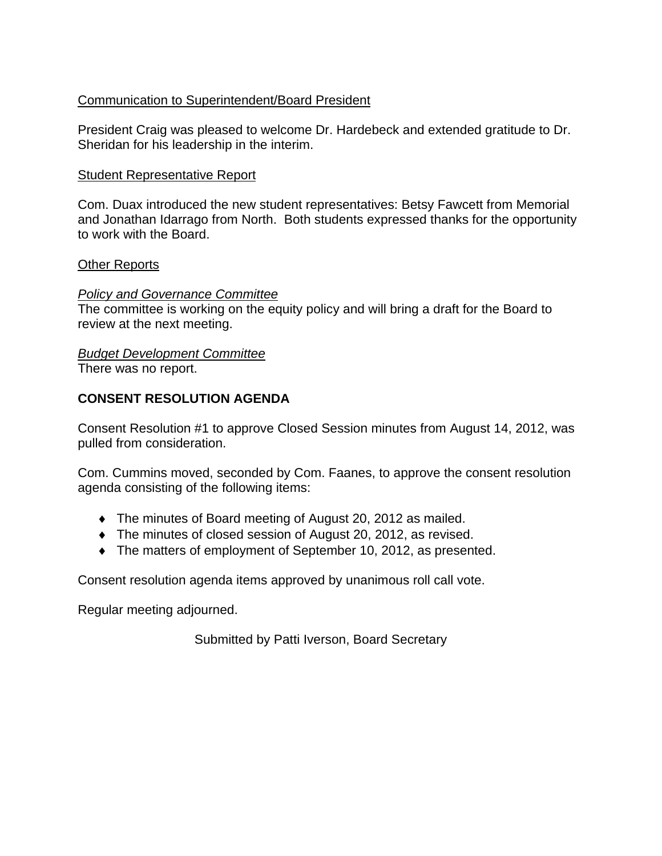# Communication to Superintendent/Board President

President Craig was pleased to welcome Dr. Hardebeck and extended gratitude to Dr. Sheridan for his leadership in the interim.

## Student Representative Report

Com. Duax introduced the new student representatives: Betsy Fawcett from Memorial and Jonathan Idarrago from North. Both students expressed thanks for the opportunity to work with the Board.

### Other Reports

### *Policy and Governance Committee*

The committee is working on the equity policy and will bring a draft for the Board to review at the next meeting.

### *Budget Development Committee*

There was no report.

# **CONSENT RESOLUTION AGENDA**

Consent Resolution #1 to approve Closed Session minutes from August 14, 2012, was pulled from consideration.

Com. Cummins moved, seconded by Com. Faanes, to approve the consent resolution agenda consisting of the following items:

- The minutes of Board meeting of August 20, 2012 as mailed.
- The minutes of closed session of August 20, 2012, as revised.
- The matters of employment of September 10, 2012, as presented.

Consent resolution agenda items approved by unanimous roll call vote.

Regular meeting adjourned.

Submitted by Patti Iverson, Board Secretary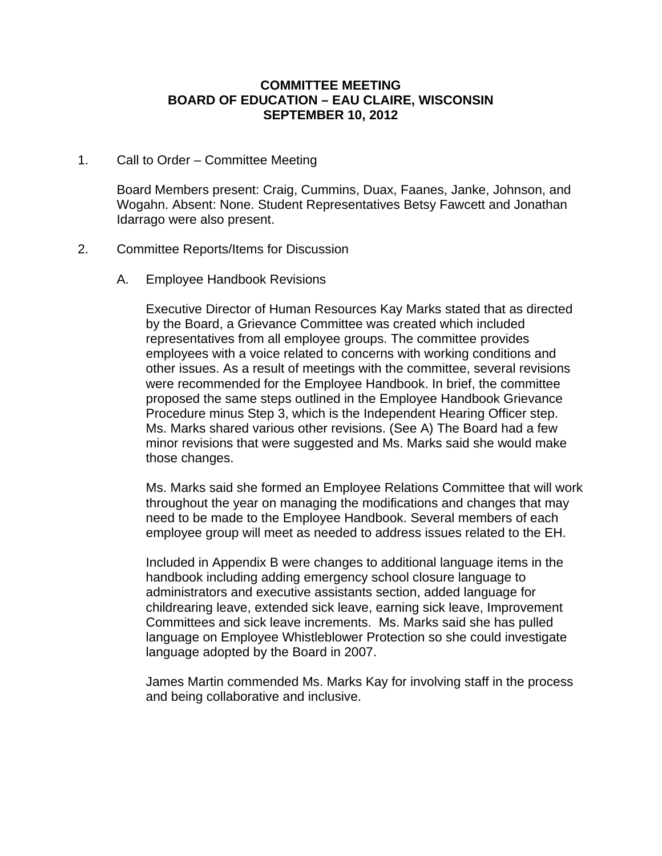#### **COMMITTEE MEETING BOARD OF EDUCATION – EAU CLAIRE, WISCONSIN SEPTEMBER 10, 2012**

1. Call to Order – Committee Meeting

Board Members present: Craig, Cummins, Duax, Faanes, Janke, Johnson, and Wogahn. Absent: None. Student Representatives Betsy Fawcett and Jonathan Idarrago were also present.

- 2. Committee Reports/Items for Discussion
	- A. Employee Handbook Revisions

Executive Director of Human Resources Kay Marks stated that as directed by the Board, a Grievance Committee was created which included representatives from all employee groups. The committee provides employees with a voice related to concerns with working conditions and other issues. As a result of meetings with the committee, several revisions were recommended for the Employee Handbook. In brief, the committee proposed the same steps outlined in the Employee Handbook Grievance Procedure minus Step 3, which is the Independent Hearing Officer step. Ms. Marks shared various other revisions. (See A) The Board had a few minor revisions that were suggested and Ms. Marks said she would make those changes.

Ms. Marks said she formed an Employee Relations Committee that will work throughout the year on managing the modifications and changes that may need to be made to the Employee Handbook. Several members of each employee group will meet as needed to address issues related to the EH.

Included in Appendix B were changes to additional language items in the handbook including adding emergency school closure language to administrators and executive assistants section, added language for childrearing leave, extended sick leave, earning sick leave, Improvement Committees and sick leave increments. Ms. Marks said she has pulled language on Employee Whistleblower Protection so she could investigate language adopted by the Board in 2007.

James Martin commended Ms. Marks Kay for involving staff in the process and being collaborative and inclusive.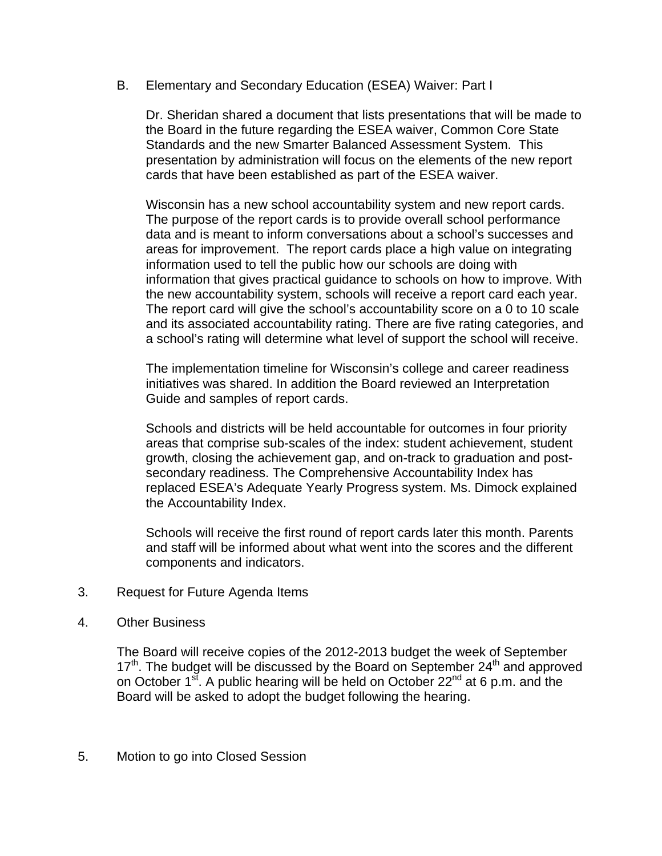B. Elementary and Secondary Education (ESEA) Waiver: Part I

Dr. Sheridan shared a document that lists presentations that will be made to the Board in the future regarding the ESEA waiver, Common Core State Standards and the new Smarter Balanced Assessment System. This presentation by administration will focus on the elements of the new report cards that have been established as part of the ESEA waiver.

Wisconsin has a new school accountability system and new report cards. The purpose of the report cards is to provide overall school performance data and is meant to inform conversations about a school's successes and areas for improvement. The report cards place a high value on integrating information used to tell the public how our schools are doing with information that gives practical guidance to schools on how to improve. With the new accountability system, schools will receive a report card each year. The report card will give the school's accountability score on a 0 to 10 scale and its associated accountability rating. There are five rating categories, and a school's rating will determine what level of support the school will receive.

The implementation timeline for Wisconsin's college and career readiness initiatives was shared. In addition the Board reviewed an Interpretation Guide and samples of report cards.

Schools and districts will be held accountable for outcomes in four priority areas that comprise sub-scales of the index: student achievement, student growth, closing the achievement gap, and on-track to graduation and postsecondary readiness. The Comprehensive Accountability Index has replaced ESEA's Adequate Yearly Progress system. Ms. Dimock explained the Accountability Index.

Schools will receive the first round of report cards later this month. Parents and staff will be informed about what went into the scores and the different components and indicators.

- 3. Request for Future Agenda Items
- 4. Other Business

The Board will receive copies of the 2012-2013 budget the week of September  $17<sup>th</sup>$ . The budget will be discussed by the Board on September 24<sup>th</sup> and approved on October  $1^{st}$ . A public hearing will be held on October 22<sup>nd</sup> at 6 p.m. and the Board will be asked to adopt the budget following the hearing.

5. Motion to go into Closed Session